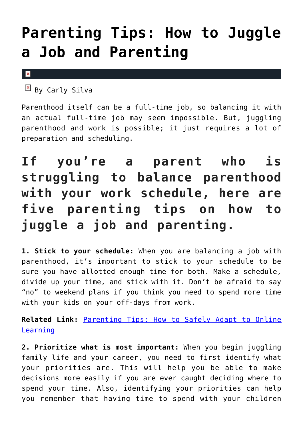## **[Parenting Tips: How to Juggle](https://cupidspulse.com/135747/parenting-tips-juggle-job-and-parenting/) [a Job and Parenting](https://cupidspulse.com/135747/parenting-tips-juggle-job-and-parenting/)**

## $\mathbf x$

 $\overline{B}$  By Carly Silva

Parenthood itself can be a full-time job, so balancing it with an actual full-time job may seem impossible. But, juggling parenthood and work is possible; it just requires a lot of preparation and scheduling.

## **If you're a parent who is struggling to balance parenthood with your work schedule, here are five parenting tips on how to juggle a job and parenting.**

**1. Stick to your schedule:** When you are balancing a job with parenthood, it's important to stick to your schedule to be sure you have allotted enough time for both. Make a schedule, divide up your time, and stick with it. Don't be afraid to say "no" to weekend plans if you think you need to spend more time with your kids on your off-days from work.

**Related Link:** [Parenting Tips: How to Safely Adapt to Online](http://cupidspulse.com/135451/parenting-tips-online-learning/) [Learning](http://cupidspulse.com/135451/parenting-tips-online-learning/)

**2. Prioritize what is most important:** When you begin juggling family life and your career, you need to first identify what your priorities are. This will help you be able to make decisions more easily if you are ever caught deciding where to spend your time. Also, identifying your priorities can help you remember that having time to spend with your children